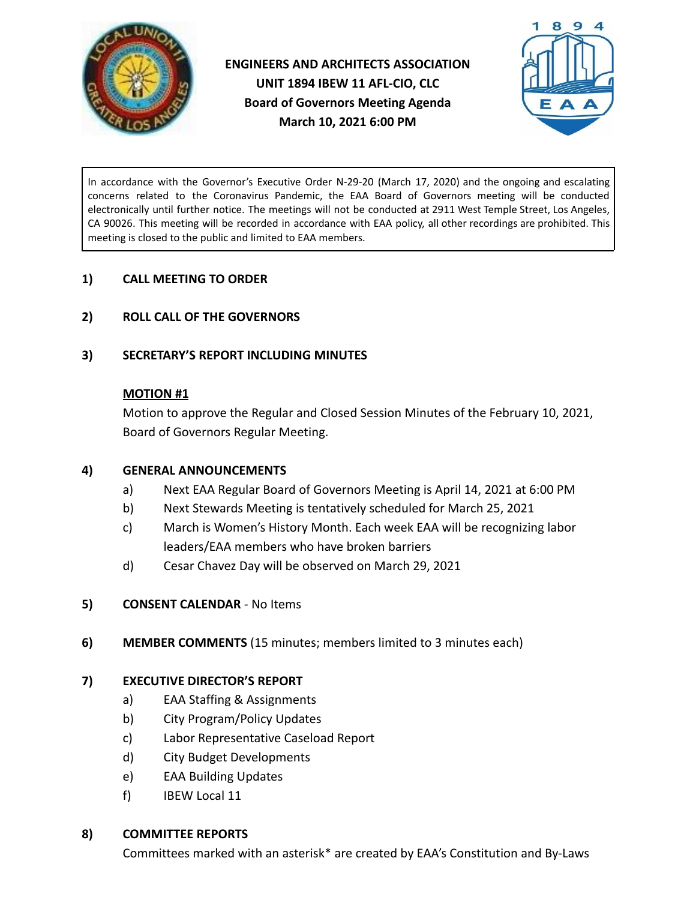

**ENGINEERS AND ARCHITECTS ASSOCIATION UNIT 1894 IBEW 11 AFL-CIO, CLC Board of Governors Meeting Agenda March 10, 2021 6:00 PM**



In accordance with the Governor's Executive Order N-29-20 (March 17, 2020) and the ongoing and escalating concerns related to the Coronavirus Pandemic, the EAA Board of Governors meeting will be conducted electronically until further notice. The meetings will not be conducted at 2911 West Temple Street, Los Angeles, CA 90026. This meeting will be recorded in accordance with EAA policy, all other recordings are prohibited. This meeting is closed to the public and limited to EAA members.

### **1) CALL MEETING TO ORDER**

**2) ROLL CALL OF THE GOVERNORS**

### **3) SECRETARY'S REPORT INCLUDING MINUTES**

#### **MOTION #1**

Motion to approve the Regular and Closed Session Minutes of the February 10, 2021, Board of Governors Regular Meeting.

#### **4) GENERAL ANNOUNCEMENTS**

- a) Next EAA Regular Board of Governors Meeting is April 14, 2021 at 6:00 PM
- b) Next Stewards Meeting is tentatively scheduled for March 25, 2021
- c) March is Women's History Month. Each week EAA will be recognizing labor leaders/EAA members who have broken barriers
- d) Cesar Chavez Day will be observed on March 29, 2021
- **5) CONSENT CALENDAR** No Items
- **6) MEMBER COMMENTS** (15 minutes; members limited to 3 minutes each)

### **7) EXECUTIVE DIRECTOR'S REPORT**

- a) EAA Staffing & Assignments
- b) City Program/Policy Updates
- c) Labor Representative Caseload Report
- d) City Budget Developments
- e) EAA Building Updates
- f) IBEW Local 11

#### **8) COMMITTEE REPORTS**

Committees marked with an asterisk\* are created by EAA's Constitution and By-Laws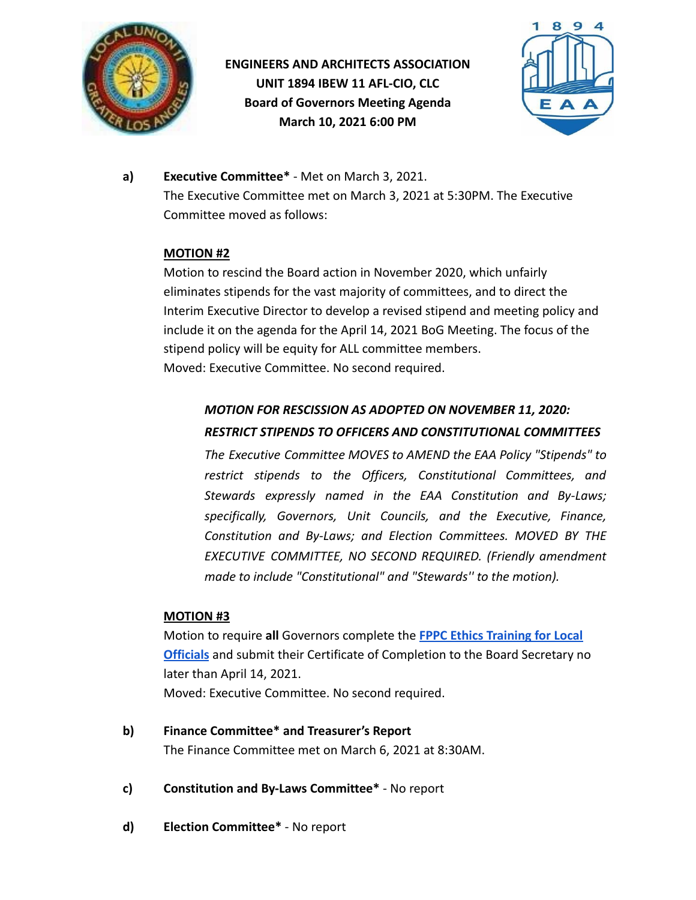

# **ENGINEERS AND ARCHITECTS ASSOCIATION UNIT 1894 IBEW 11 AFL-CIO, CLC Board of Governors Meeting Agenda March 10, 2021 6:00 PM**



**a) Executive Committee\*** - Met on March 3, 2021. The Executive Committee met on March 3, 2021 at 5:30PM. The Executive Committee moved as follows:

### **MOTION #2**

Motion to rescind the Board action in November 2020, which unfairly eliminates stipends for the vast majority of committees, and to direct the Interim Executive Director to develop a revised stipend and meeting policy and include it on the agenda for the April 14, 2021 BoG Meeting. The focus of the stipend policy will be equity for ALL committee members. Moved: Executive Committee. No second required.

## *MOTION FOR RESCISSION AS ADOPTED ON NOVEMBER 11, 2020: RESTRICT STIPENDS TO OFFICERS AND CONSTITUTIONAL COMMITTEES*

*The Executive Committee MOVES to AMEND the EAA Policy "Stipends" to restrict stipends to the Officers, Constitutional Committees, and Stewards expressly named in the EAA Constitution and By-Laws; specifically, Governors, Unit Councils, and the Executive, Finance, Constitution and By-Laws; and Election Committees. MOVED BY THE EXECUTIVE COMMITTEE, NO SECOND REQUIRED. (Friendly amendment made to include "Constitutional" and "Stewards'' to the motion).*

### **MOTION #3**

Motion to require **all** Governors complete the **FPPC [Ethics Training for Local](https://www.fppc.ca.gov/learn/public-officials-and-employees-rules-/ethics-training.html) [Officials](https://www.fppc.ca.gov/learn/public-officials-and-employees-rules-/ethics-training.html)** and submit their Certificate of Completion to the Board Secretary no later than April 14, 2021. Moved: Executive Committee. No second required.

- **b) Finance Committee\* and Treasurer's Report** The Finance Committee met on March 6, 2021 at 8:30AM.
- **c) Constitution and By-Laws Committee\*** No report
- **d) Election Committee\*** No report